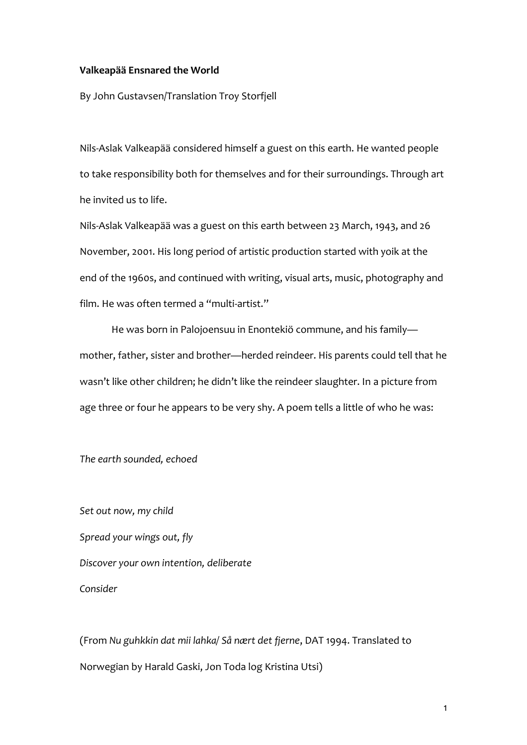#### **Valkeapää Ensnared the World**

By John Gustavsen/Translation Troy Storfjell

Nils-Aslak Valkeapää considered himself a guest on this earth. He wanted people to take responsibility both for themselves and for their surroundings. Through art he invited us to life.

Nils-Aslak Valkeapää was a guest on this earth between 23 March, 1943, and 26 November, 2001. His long period of artistic production started with yoik at the end of the 1960s, and continued with writing, visual arts, music, photography and film. He was often termed a "multi-artist."

He was born in Palojoensuu in Enontekiö commune, and his family mother, father, sister and brother—herded reindeer. His parents could tell that he wasn't like other children; he didn't like the reindeer slaughter. In a picture from age three or four he appears to be very shy. A poem tells a little of who he was:

*The earth sounded, echoed*

*Set out now, my child Spread your wings out, fly Discover your own intention, deliberate Consider*

(From *Nu guhkkin dat mii lahka/ Så nært det fjerne*, DAT 1994. Translated to Norwegian by Harald Gaski, Jon Toda log Kristina Utsi)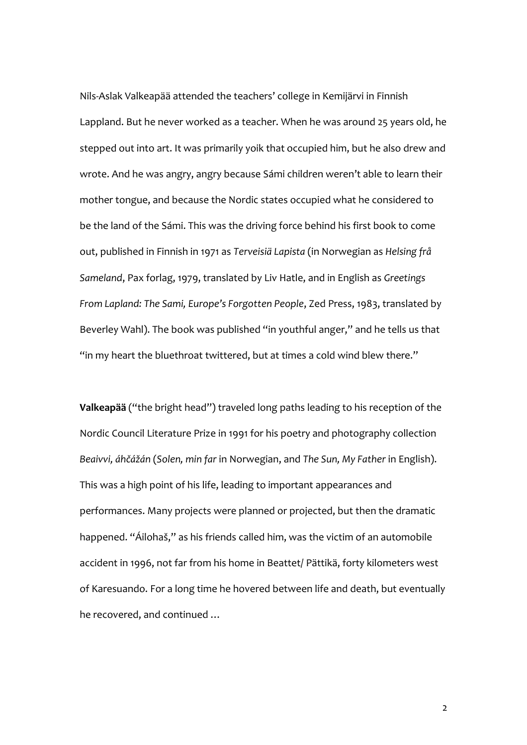Nils-Aslak Valkeapää attended the teachers' college in Kemijärvi in Finnish Lappland. But he never worked as a teacher. When he was around 25 years old, he stepped out into art. It was primarily yoik that occupied him, but he also drew and wrote. And he was angry, angry because Sámi children weren't able to learn their mother tongue, and because the Nordic states occupied what he considered to be the land of the Sámi. This was the driving force behind his first book to come out, published in Finnish in 1971 as *Terveisiä Lapista* (in Norwegian as *Helsing frå Sameland*, Pax forlag, 1979, translated by Liv Hatle, and in English as *Greetings From Lapland: The Sami, Europe's Forgotten People*, Zed Press, 1983, translated by Beverley Wahl). The book was published "in youthful anger," and he tells us that "in my heart the bluethroat twittered, but at times a cold wind blew there."

**Valkeapää** ("the bright head") traveled long paths leading to his reception of the Nordic Council Literature Prize in 1991 for his poetry and photography collection *Beaivvi, áhčážán* (*Solen, min far* in Norwegian, and *The Sun, My Father* in English). This was a high point of his life, leading to important appearances and performances. Many projects were planned or projected, but then the dramatic happened. "Áilohaš," as his friends called him, was the victim of an automobile accident in 1996, not far from his home in Beattet/ Pättikä, forty kilometers west of Karesuando. For a long time he hovered between life and death, but eventually he recovered, and continued …

2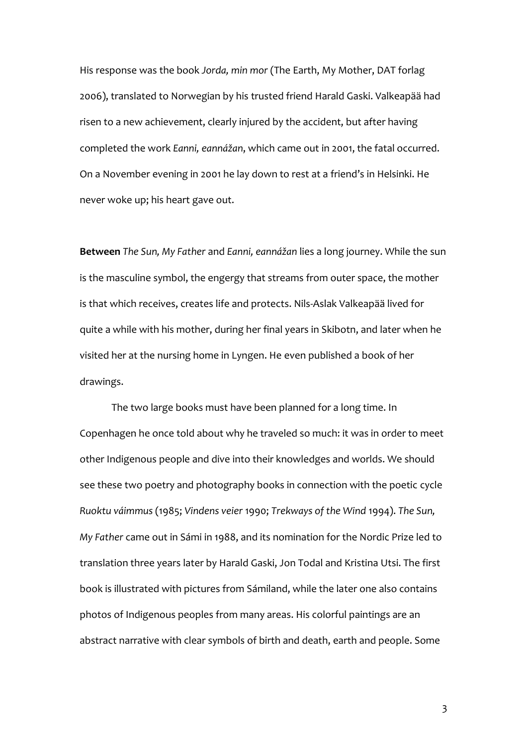His response was the book *Jorda, min mor* (The Earth, My Mother, DAT forlag 2006), translated to Norwegian by his trusted friend Harald Gaski. Valkeapää had risen to a new achievement, clearly injured by the accident, but after having completed the work *Eanni, eannážan*, which came out in 2001, the fatal occurred. On a November evening in 2001 he lay down to rest at a friend's in Helsinki. He never woke up; his heart gave out.

**Between** *The Sun, My Father* and *Eanni, eannážan* lies a long journey. While the sun is the masculine symbol, the engergy that streams from outer space, the mother is that which receives, creates life and protects. Nils-Aslak Valkeapää lived for quite a while with his mother, during her final years in Skibotn, and later when he visited her at the nursing home in Lyngen. He even published a book of her drawings.

The two large books must have been planned for a long time. In Copenhagen he once told about why he traveled so much: it was in order to meet other Indigenous people and dive into their knowledges and worlds. We should see these two poetry and photography books in connection with the poetic cycle *Ruoktu váimmus* (1985; *Vindens veier* 1990; *Trekways of the Wind* 1994). *The Sun, My Father* came out in Sámi in 1988, and its nomination for the Nordic Prize led to translation three years later by Harald Gaski, Jon Todal and Kristina Utsi. The first book is illustrated with pictures from Sámiland, while the later one also contains photos of Indigenous peoples from many areas. His colorful paintings are an abstract narrative with clear symbols of birth and death, earth and people. Some

3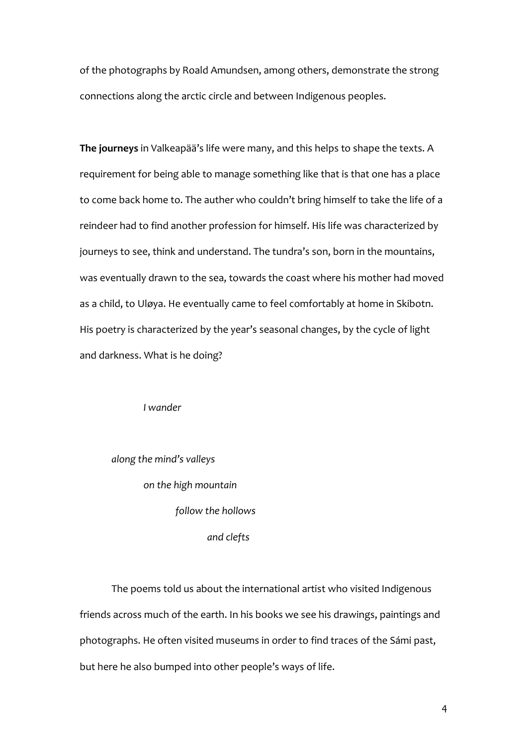of the photographs by Roald Amundsen, among others, demonstrate the strong connections along the arctic circle and between Indigenous peoples.

**The journeys** in Valkeapää's life were many, and this helps to shape the texts. A requirement for being able to manage something like that is that one has a place to come back home to. The auther who couldn't bring himself to take the life of a reindeer had to find another profession for himself. His life was characterized by journeys to see, think and understand. The tundra's son, born in the mountains, was eventually drawn to the sea, towards the coast where his mother had moved as a child, to Uløya. He eventually came to feel comfortably at home in Skibotn. His poetry is characterized by the year's seasonal changes, by the cycle of light and darkness. What is he doing?

*I wander*

*along the mind's valleys on the high mountain follow the hollows and clefts*

The poems told us about the international artist who visited Indigenous friends across much of the earth. In his books we see his drawings, paintings and photographs. He often visited museums in order to find traces of the Sámi past, but here he also bumped into other people's ways of life.

4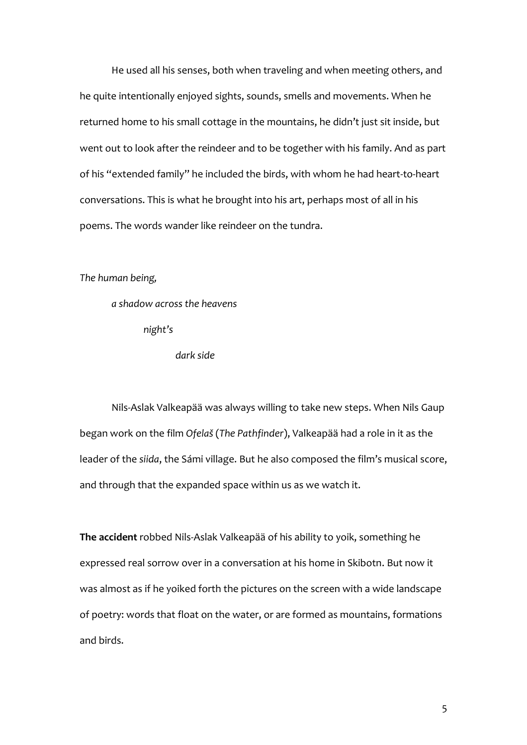He used all his senses, both when traveling and when meeting others, and he quite intentionally enjoyed sights, sounds, smells and movements. When he returned home to his small cottage in the mountains, he didn't just sit inside, but went out to look after the reindeer and to be together with his family. And as part of his "extended family" he included the birds, with whom he had heart-to-heart conversations. This is what he brought into his art, perhaps most of all in his poems. The words wander like reindeer on the tundra.

*The human being,*

*a shadow across the heavens night's dark side*

Nils-Aslak Valkeapää was always willing to take new steps. When Nils Gaup began work on the film *Ofelaš* (*The Pathfinder*), Valkeapää had a role in it as the leader of the *siida*, the Sámi village. But he also composed the film's musical score, and through that the expanded space within us as we watch it.

**The accident** robbed Nils-Aslak Valkeapää of his ability to yoik, something he expressed real sorrow over in a conversation at his home in Skibotn. But now it was almost as if he yoiked forth the pictures on the screen with a wide landscape of poetry: words that float on the water, or are formed as mountains, formations and birds.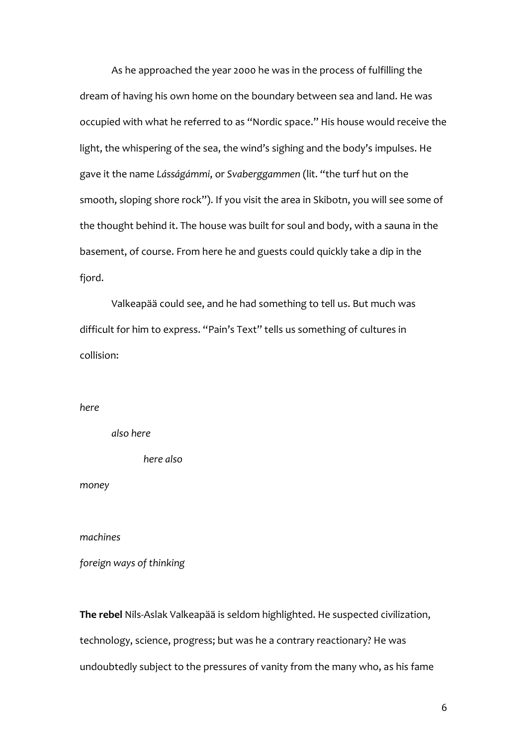As he approached the year 2000 he was in the process of fulfilling the dream of having his own home on the boundary between sea and land. He was occupied with what he referred to as "Nordic space." His house would receive the light, the whispering of the sea, the wind's sighing and the body's impulses. He gave it the name *Lásságámmi*, or *Svaberggammen* (lit. "the turf hut on the smooth, sloping shore rock"). If you visit the area in Skibotn, you will see some of the thought behind it. The house was built for soul and body, with a sauna in the basement, of course. From here he and guests could quickly take a dip in the fjord.

Valkeapää could see, and he had something to tell us. But much was difficult for him to express. "Pain's Text" tells us something of cultures in collision:

#### *here*

*also here*

*here also*

*money*

*machines*

*foreign ways of thinking*

**The rebel** Nils-Aslak Valkeapää is seldom highlighted. He suspected civilization, technology, science, progress; but was he a contrary reactionary? He was undoubtedly subject to the pressures of vanity from the many who, as his fame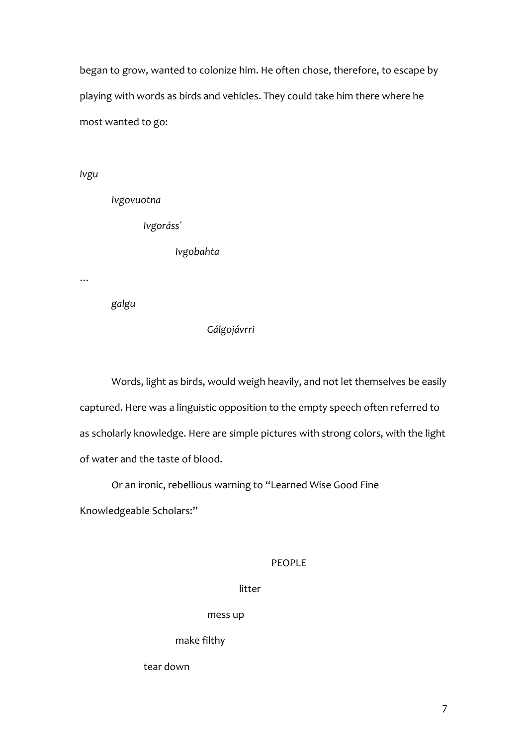began to grow, wanted to colonize him. He often chose, therefore, to escape by playing with words as birds and vehicles. They could take him there where he most wanted to go:

*Ivgu*

*Ivgovuotna*

*Ivgoráss´*

*Ivgobahta*

*…*

*galgu*

### *Gálgojávrri*

Words, light as birds, would weigh heavily, and not let themselves be easily captured. Here was a linguistic opposition to the empty speech often referred to as scholarly knowledge. Here are simple pictures with strong colors, with the light of water and the taste of blood.

Or an ironic, rebellious warning to "Learned Wise Good Fine

Knowledgeable Scholars:"

#### PEOPLE

## litter

mess up

make filthy

tear down